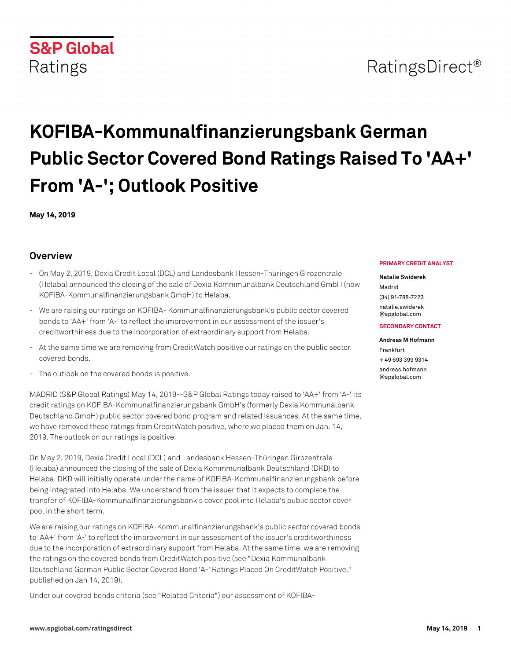

# **KOFIBA-Kommunalfinanzierungsbank German Public Sector Covered Bond Ratings Raised To 'AA+' From 'A-'; Outlook Positive**

**May 14, 2019**

# **Overview**

- On May 2, 2019, Dexia Credit Local (DCL) and Landesbank Hessen-Thüringen Girozentrale (Helaba) announced the closing of the sale of Dexia Kommmunalbank Deutschland GmbH (now KOFIBA-Kommunalfinanzierungsbank GmbH) to Helaba.
- We are raising our ratings on KOFIBA- Kommunalfinanzierungsbank's public sector covered bonds to 'AA+' from 'A-' to reflect the improvement in our assessment of the issuer's creditworthiness due to the incorporation of extraordinary support from Helaba.
- At the same time we are removing from CreditWatch positive our ratings on the public sector covered bonds.
- The outlook on the covered bonds is positive.

MADRID (S&P Global Ratings) May 14, 2019--S&P Global Ratings today raised to 'AA+' from 'A-' its credit ratings on KOFIBA-Kommunalfinanzierungsbank GmbH's (formerly Dexia Kommunalbank Deutschland GmbH) public sector covered bond program and related issuances. At the same time, we have removed these ratings from CreditWatch positive, where we placed them on Jan. 14, 2019. The outlook on our ratings is positive.

On May 2, 2019, Dexia Credit Local (DCL) and Landesbank Hessen-Thüringen Girozentrale (Helaba) announced the closing of the sale of Dexia Kommmunalbank Deutschland (DKD) to Helaba. DKD will initially operate under the name of KOFIBA-Kommunalfinanzierungsbank before being integrated into Helaba. We understand from the issuer that it expects to complete the transfer of KOFIBA-Kommunalfinanzierungsbank's cover pool into Helaba's public sector cover pool in the short term.

We are raising our ratings on KOFIBA-Kommunalfinanzierungsbank's public sector covered bonds to 'AA+' from 'A-' to reflect the improvement in our assessment of the issuer's creditworthiness due to the incorporation of extraordinary support from Helaba. At the same time, we are removing the ratings on the covered bonds from CreditWatch positive (see "Dexia Kommunalbank Deutschland German Public Sector Covered Bond 'A-' Ratings Placed On CreditWatch Positive," published on Jan 14, 2019).

Under our covered bonds criteria (see "Related Criteria") our assessment of KOFIBA-

## **PRIMARY CREDIT ANALYST**

## **Natalie Swiderek**

Madrid (34) 91-788-7223 [natalie.swiderek](mailto: natalie.swiderek@spglobal.com) [@spglobal.com](mailto: natalie.swiderek@spglobal.com)

## **SECONDARY CONTACT**

#### **Andreas M Hofmann**

Frankfurt + 49 693 399 9314 [andreas.hofmann](mailto: andreas.hofmann@spglobal.com)

[@spglobal.com](mailto: andreas.hofmann@spglobal.com)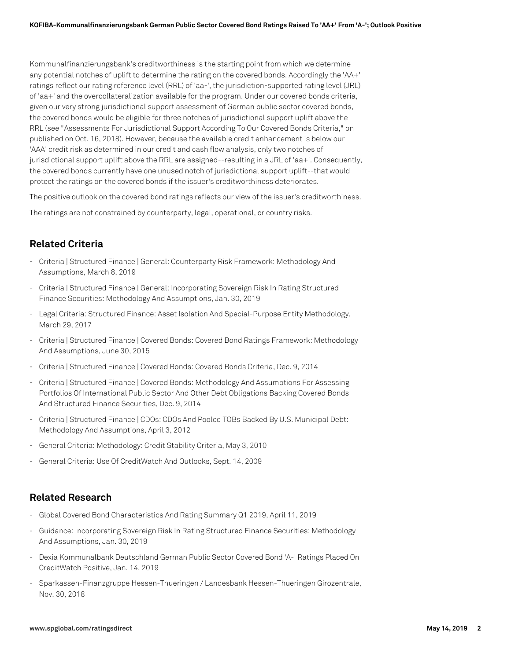Kommunalfinanzierungsbank's creditworthiness is the starting point from which we determine any potential notches of uplift to determine the rating on the covered bonds. Accordingly the 'AA+' ratings reflect our rating reference level (RRL) of 'aa-', the jurisdiction-supported rating level (JRL) of 'aa+' and the overcollateralization available for the program. Under our covered bonds criteria, given our very strong jurisdictional support assessment of German public sector covered bonds, the covered bonds would be eligible for three notches of jurisdictional support uplift above the RRL (see "Assessments For Jurisdictional Support According To Our Covered Bonds Criteria," on published on Oct. 16, 2018). However, because the available credit enhancement is below our 'AAA' credit risk as determined in our credit and cash flow analysis, only two notches of jurisdictional support uplift above the RRL are assigned--resulting in a JRL of 'aa+'. Consequently, the covered bonds currently have one unused notch of jurisdictional support uplift--that would protect the ratings on the covered bonds if the issuer's creditworthiness deteriorates.

The positive outlook on the covered bond ratings reflects our view of the issuer's creditworthiness.

The ratings are not constrained by counterparty, legal, operational, or country risks.

# **Related Criteria**

- Criteria | Structured Finance | General: Counterparty Risk Framework: Methodology And Assumptions, March 8, 2019
- Criteria | Structured Finance | General: Incorporating Sovereign Risk In Rating Structured Finance Securities: Methodology And Assumptions, Jan. 30, 2019
- Legal Criteria: Structured Finance: Asset Isolation And Special-Purpose Entity Methodology, March 29, 2017
- Criteria | Structured Finance | Covered Bonds: Covered Bond Ratings Framework: Methodology And Assumptions, June 30, 2015
- Criteria | Structured Finance | Covered Bonds: Covered Bonds Criteria, Dec. 9, 2014
- Criteria | Structured Finance | Covered Bonds: Methodology And Assumptions For Assessing Portfolios Of International Public Sector And Other Debt Obligations Backing Covered Bonds And Structured Finance Securities, Dec. 9, 2014
- Criteria | Structured Finance | CDOs: CDOs And Pooled TOBs Backed By U.S. Municipal Debt: Methodology And Assumptions, April 3, 2012
- General Criteria: Methodology: Credit Stability Criteria, May 3, 2010
- General Criteria: Use Of CreditWatch And Outlooks, Sept. 14, 2009

# **Related Research**

- Global Covered Bond Characteristics And Rating Summary Q1 2019, April 11, 2019
- Guidance: Incorporating Sovereign Risk In Rating Structured Finance Securities: Methodology And Assumptions, Jan. 30, 2019
- Dexia Kommunalbank Deutschland German Public Sector Covered Bond 'A-' Ratings Placed On CreditWatch Positive, Jan. 14, 2019
- Sparkassen-Finanzgruppe Hessen-Thueringen / Landesbank Hessen-Thueringen Girozentrale, Nov. 30, 2018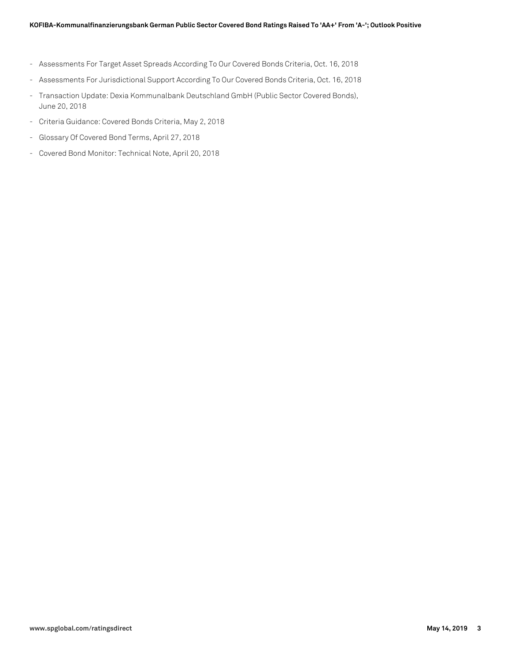- Assessments For Target Asset Spreads According To Our Covered Bonds Criteria, Oct. 16, 2018
- Assessments For Jurisdictional Support According To Our Covered Bonds Criteria, Oct. 16, 2018
- Transaction Update: Dexia Kommunalbank Deutschland GmbH (Public Sector Covered Bonds), June 20, 2018
- Criteria Guidance: Covered Bonds Criteria, May 2, 2018
- Glossary Of Covered Bond Terms, April 27, 2018
- Covered Bond Monitor: Technical Note, April 20, 2018